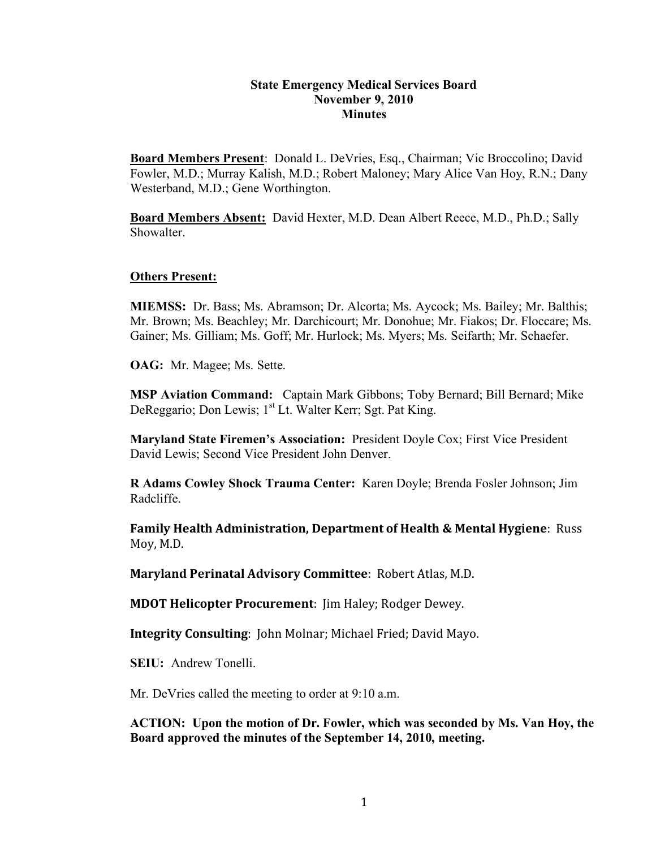### **State Emergency Medical Services Board November 9, 2010 Minutes**

**Board Members Present**: Donald L. DeVries, Esq., Chairman; Vic Broccolino; David Fowler, M.D.; Murray Kalish, M.D.; Robert Maloney; Mary Alice Van Hoy, R.N.; Dany Westerband, M.D.; Gene Worthington.

**Board Members Absent:** David Hexter, M.D. Dean Albert Reece, M.D., Ph.D.; Sally **Showalter** 

#### **Others Present:**

**MIEMSS:** Dr. Bass; Ms. Abramson; Dr. Alcorta; Ms. Aycock; Ms. Bailey; Mr. Balthis; Mr. Brown; Ms. Beachley; Mr. Darchicourt; Mr. Donohue; Mr. Fiakos; Dr. Floccare; Ms. Gainer; Ms. Gilliam; Ms. Goff; Mr. Hurlock; Ms. Myers; Ms. Seifarth; Mr. Schaefer.

**OAG:** Mr. Magee; Ms. Sette.

**MSP Aviation Command:** Captain Mark Gibbons; Toby Bernard; Bill Bernard; Mike DeReggario; Don Lewis; 1<sup>st</sup> Lt. Walter Kerr; Sgt. Pat King.

**Maryland State Firemen's Association:** President Doyle Cox; First Vice President David Lewis; Second Vice President John Denver.

**R Adams Cowley Shock Trauma Center:** Karen Doyle; Brenda Fosler Johnson; Jim Radcliffe.

**Family Health Administration, Department of Health & Mental Hygiene: Russ** Moy,
M.D.

**Maryland Perinatal
Advisory
Committee**:

Robert
Atlas,
M.D.

**MDOT
Helicopter
Procurement**:

Jim
Haley;
Rodger
Dewey.

Integrity Consulting: John Molnar; Michael Fried; David Mayo.

**SEIU:** Andrew Tonelli.

Mr. DeVries called the meeting to order at 9:10 a.m.

**ACTION: Upon the motion of Dr. Fowler, which was seconded by Ms. Van Hoy, the Board approved the minutes of the September 14, 2010, meeting.**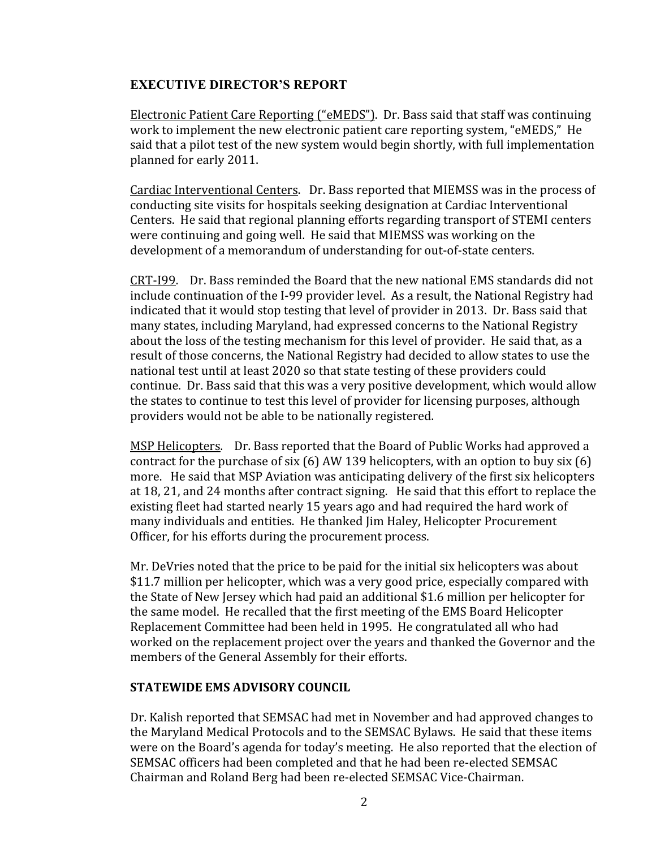## **EXECUTIVE DIRECTOR'S REPORT**

Electronic
Patient
Care
Reporting
("eMEDS").

Dr.
Bass
said
that
staff
was
continuing work to implement the new electronic patient care reporting system, "eMEDS," He said that a pilot test of the new system would begin shortly, with full implementation planned
for
early
2011.

Cardiac
Interventional
Centers.

Dr.
Bass
reported
that
MIEMSS
was
in
the
process
of conducting
site
visits
for
hospitals
seeking
designation
at
Cardiac
Interventional Centers.

He
said
that
regional
planning
efforts
regarding
transport of
STEMI
centers were continuing and going well. He said that MIEMSS was working on the development of a memorandum of understanding for out-of-state centers.

CRT‐I99.

Dr.
Bass
reminded
the
Board
that
the
new
national
EMS
standards
did
not include continuation of the I-99 provider level. As a result, the National Registry had indicated that it would stop testing that level of provider in 2013. Dr. Bass said that many
states,
including
Maryland,
had
expressed
concerns
to
the
National
Registry about the loss of the testing mechanism for this level of provider. He said that, as a result of those concerns, the National Registry had decided to allow states to use the national
test
until
at
least
2020
so
that
state
testing
of
these
providers
could continue.

Dr.
Bass
said
that
this
was a
very
positive
development,
which
would
allow the states to continue to test this level of provider for licensing purposes, although providers
would not
be
able
to
be
nationally
registered.

MSP
Helicopters.

Dr.
Bass
reported
that
the
Board
of
Public
Works
had
approved
a contract for the purchase of six  $(6)$  AW 139 helicopters, with an option to buy six  $(6)$ more. He said that MSP Aviation was anticipating delivery of the first six helicopters at
18,
21,
and
24
months
after
contract
signing.

He
said
that
this
effort
to
replace
the existing
fleet
had
started
nearly
15
years
ago
and
had
required
the
hard
work
of many
individuals
and
entities.

He
thanked
Jim
Haley,
Helicopter
Procurement Officer,
for
his
efforts
during
the
procurement
process.

Mr.
DeVries
noted
that
the
price
to
be
paid
for
the
initial
six
helicopters
was
about \$11.7
million per
helicopter,
which
was
a
very
good
price,
especially
compared
with the
State
of
New
Jersey
which
had
paid
an
additional
\$1.6
million
per
helicopter
for the
same
model.

He
recalled
that
the
first
meeting
of
the
EMS Board
Helicopter Replacement
Committee
had
been
held
in
1995.

He
congratulated
all
who
had worked on the replacement project over the years and thanked the Governor and the members
of
the
General
Assembly
for
their
efforts.

#### **STATEWIDE
EMS
ADVISORY
COUNCIL**

Dr.
Kalish
reported
that
SEMSAC
had
met
in
November
and
had
approved
changes
to the Maryland Medical Protocols and to the SEMSAC Bylaws. He said that these items were on the Board's agenda for today's meeting. He also reported that the election of SEMSAC
officers
had
been
completed
and
that
he
had
been
re‐elected
SEMSAC Chairman
and
Roland Berg
had
been
re‐elected
SEMSAC
Vice‐Chairman.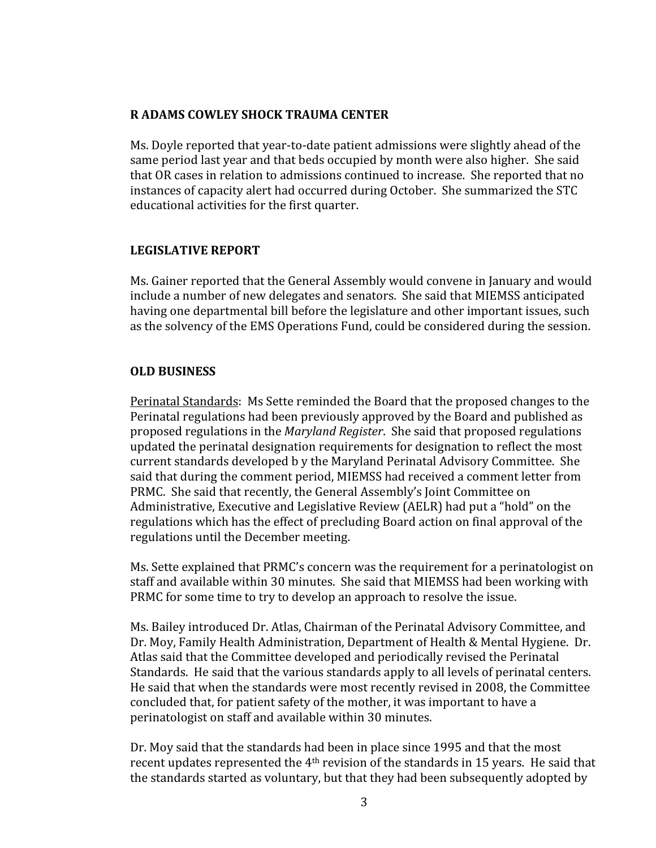## **R
ADAMS
COWLEY
SHOCK
TRAUMA
CENTER**

Ms. Doyle reported that year-to-date patient admissions were slightly ahead of the same period last vear and that beds occupied by month were also higher. She said that
OR
cases
in
relation
to
admissions
continued
to
increase.

She
reported
that
no instances
of
capacity
alert
had
occurred
during October.

She
summarized
the
STC educational
activities
for
the
first
quarter.

### **LEGISLATIVE
REPORT**

Ms.
Gainer
reported
that
the
General
Assembly
would
convene
in
January
and
would include
a
number
of
new
delegates
and
senators.

She
said
that
MIEMSS
anticipated having
one
departmental
bill
before
the
legislature
and
other
important
issues, such as
the
solvency
of
the
EMS
Operations
Fund,
could
be
considered
during
the
session.

### **OLD
BUSINESS**

Perinatal Standards:

Ms
Sette
reminded
the
Board
that
the
proposed
changes
to
the Perinatal
regulations
had
been
previously
approved
by
the
Board
and
published
as proposed
regulations
in
the *Maryland
Register*.

She
said
that
proposed
regulations updated
the
perinatal
designation
requirements
for
designation
to
reflect
the
most current
standards
developed
b
y
the
Maryland
Perinatal
Advisory
Committee.

She said that during the comment period, MIEMSS had received a comment letter from PRMC. She said that recently, the General Assembly's Joint Committee on Administrative, Executive and Legislative Review (AELR) had put a "hold" on the regulations
which has
the
effect
of
precluding
Board
action
on
final
approval of
the regulations
until
the
December
meeting.

Ms.
Sette
explained
that
PRMC's
concern
was
the
requirement
for
a
perinatologist
on staff
and available
within
30
minutes.

She
said
that
MIEMSS
had
been
working
with PRMC for some time to try to develop an approach to resolve the issue.

Ms.
Bailey
introduced
Dr.
Atlas,
Chairman
of
the
Perinatal
Advisory
Committee,
and Dr. Moy, Family Health Administration, Department of Health & Mental Hygiene. Dr. Atlas
said
that
the
Committee
developed
and
periodically
revised
the
Perinatal Standards. He said that the various standards apply to all levels of perinatal centers. He
said
that
when
the
standards
were
most
recently
revised
in
2008,
the
Committee concluded
that,
for
patient
safety
of
the
mother,
it
was
important
to have
a perinatologist
on
staff
and
available
within
30
minutes.

Dr.
Moy
said
that
the
standards
had
been
in
place
since
1995
and
that
the
most recent updates represented the 4<sup>th</sup> revision of the standards in 15 years. He said that the
standards
started as
voluntary,
but
that
they
had
been
subsequently
adopted
by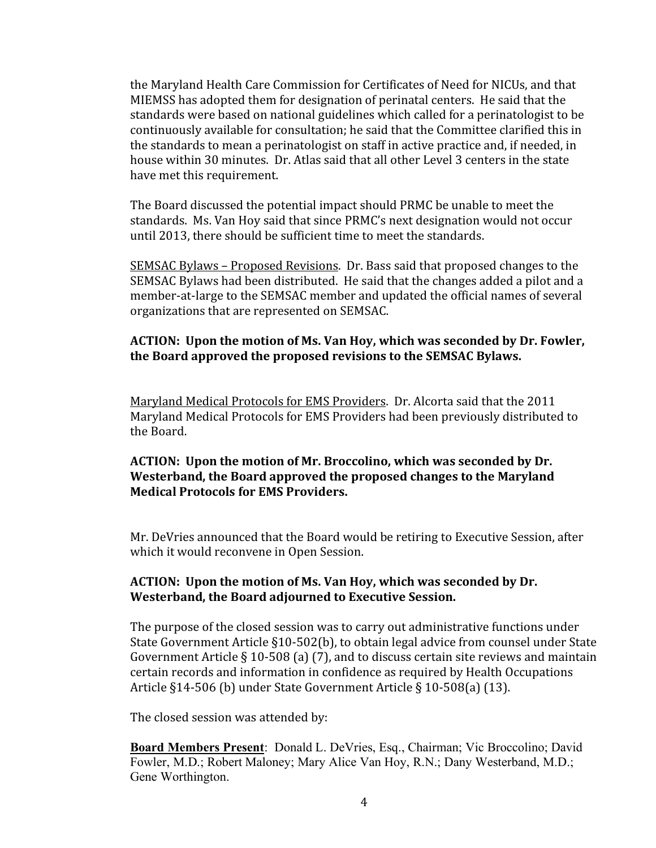the
Maryland
Health
Care
Commission
for
Certificates
of
Need
for
NICUs, and
that MIEMSS
has
adopted
them
for
designation of
perinatal
centers.

He
said
that
the standards
were
based
on
national
guidelines
which
called
for
a
perinatologist
to
be continuously
available
for
consultation;
he
said
that
the
Committee
clarified
this
in the
standards
to
mean
a
perinatologist
on
staff
in
active
practice
and,
if
needed,
in house within 30 minutes. Dr. Atlas said that all other Level 3 centers in the state have
met
this
requirement.

The
Board discussed
the
potential
impact
should
PRMC
be
unable
to
meet
the standards.

Ms.
Van
Hoy said
that
since PRMC's next
designation
would
not occur until
2013,
there
should
be
sufficient
time
to
meet
the
standards.

SEMSAC Bylaws –
Proposed
Revisions.

Dr.
Bass
said
that
proposed
changes
to
the SEMSAC Bylaws had been distributed. He said that the changes added a pilot and a member-at-large to the SEMSAC member and updated the official names of several organizations
that
are
represented
on
SEMSAC.

# **ACTION:

Upon
the
motion
of
Ms.
Van
Hoy,
which
was
seconded
by
Dr.
Fowler, the
Board
approved
the
proposed
revisions
to
the
SEMSAC
Bylaws.**

Maryland
Medical
Protocols
for
EMS
Providers.

Dr.
Alcorta
said
that
the
2011 Maryland
Medical
Protocols
for
EMS
Providers
had
been
previously
distributed
to the
Board.

# **ACTION:

Upon
the
motion
of
Mr.
Broccolino,
which
was
seconded
by
Dr. Westerband,
the
Board approved
the
proposed
changes
to
the
Maryland Medical
Protocols for
EMS
Providers.**

Mr.
DeVries
announced
that
the
Board
would
be
retiring
to
Executive
Session,
after which
it would reconvene
in
Open
Session.

## **ACTION:

Upon
the
motion
of
Ms.
Van
Hoy,
which
was
seconded
by
Dr. Westerband,
the
Board adjourned
to
Executive
Session.**

The
purpose
of
the
closed
session
was
to
carry
out
administrative
functions
under State Government Article §10-502(b), to obtain legal advice from counsel under State Government Article § 10-508 (a) (7), and to discuss certain site reviews and maintain certain
records
and
information
in
confidence
as
required
by
Health
Occupations Article §14‐506
(b)
under
State
Government
Article §
10‐508(a)
(13).

The
closed
session
was attended
by:

**Board Members Present**: Donald L. DeVries, Esq., Chairman; Vic Broccolino; David Fowler, M.D.; Robert Maloney; Mary Alice Van Hoy, R.N.; Dany Westerband, M.D.; Gene Worthington.